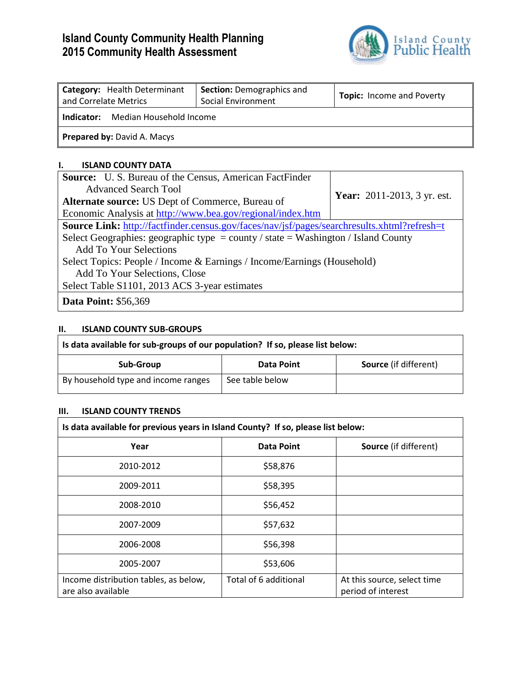# **Island County Community Health Planning 2015 Community Health Assessment**



| Category: Health Determinant<br>and Correlate Metrics | <b>Section: Demographics and</b><br>Social Environment | <b>Topic:</b> Income and Poverty |  |  |  |  |  |
|-------------------------------------------------------|--------------------------------------------------------|----------------------------------|--|--|--|--|--|
| Median Household Income<br>Indicator:                 |                                                        |                                  |  |  |  |  |  |
| <b>Prepared by: David A. Macys</b>                    |                                                        |                                  |  |  |  |  |  |

#### **I. ISLAND COUNTY DATA**

| <b>Source:</b> U. S. Bureau of the Census, American FactFinder                                     |                                    |  |  |  |  |  |
|----------------------------------------------------------------------------------------------------|------------------------------------|--|--|--|--|--|
| Advanced Search Tool                                                                               |                                    |  |  |  |  |  |
| <b>Alternate source:</b> US Dept of Commerce, Bureau of                                            | <b>Year:</b> 2011-2013, 3 yr. est. |  |  |  |  |  |
| Economic Analysis at http://www.bea.gov/regional/index.htm                                         |                                    |  |  |  |  |  |
| <b>Source Link:</b> http://factfinder.census.gov/faces/nav/jsf/pages/searchresults.xhtml?refresh=t |                                    |  |  |  |  |  |
| Select Geographies: geographic type = county / state = Washington / Island County                  |                                    |  |  |  |  |  |
| Add To Your Selections                                                                             |                                    |  |  |  |  |  |
| Select Topics: People / Income & Earnings / Income/Earnings (Household)                            |                                    |  |  |  |  |  |
| Add To Your Selections, Close                                                                      |                                    |  |  |  |  |  |
| Select Table S1101, 2013 ACS 3-year estimates                                                      |                                    |  |  |  |  |  |
| <b>Data Point: \$56,369</b>                                                                        |                                    |  |  |  |  |  |

### **II. ISLAND COUNTY SUB-GROUPS**

| Is data available for sub-groups of our population? If so, please list below: |                 |                              |  |  |  |  |
|-------------------------------------------------------------------------------|-----------------|------------------------------|--|--|--|--|
| Sub-Group                                                                     | Data Point      | <b>Source</b> (if different) |  |  |  |  |
| By household type and income ranges                                           | See table below |                              |  |  |  |  |

#### **III. ISLAND COUNTY TRENDS**

| Is data available for previous years in Island County? If so, please list below: |                       |                                                   |  |  |  |  |  |
|----------------------------------------------------------------------------------|-----------------------|---------------------------------------------------|--|--|--|--|--|
| Year                                                                             | <b>Data Point</b>     | <b>Source</b> (if different)                      |  |  |  |  |  |
| 2010-2012                                                                        | \$58,876              |                                                   |  |  |  |  |  |
| 2009-2011                                                                        | \$58,395              |                                                   |  |  |  |  |  |
| 2008-2010                                                                        | \$56,452              |                                                   |  |  |  |  |  |
| 2007-2009                                                                        | \$57,632              |                                                   |  |  |  |  |  |
| 2006-2008                                                                        | \$56,398              |                                                   |  |  |  |  |  |
| 2005-2007                                                                        | \$53,606              |                                                   |  |  |  |  |  |
| Income distribution tables, as below,<br>are also available                      | Total of 6 additional | At this source, select time<br>period of interest |  |  |  |  |  |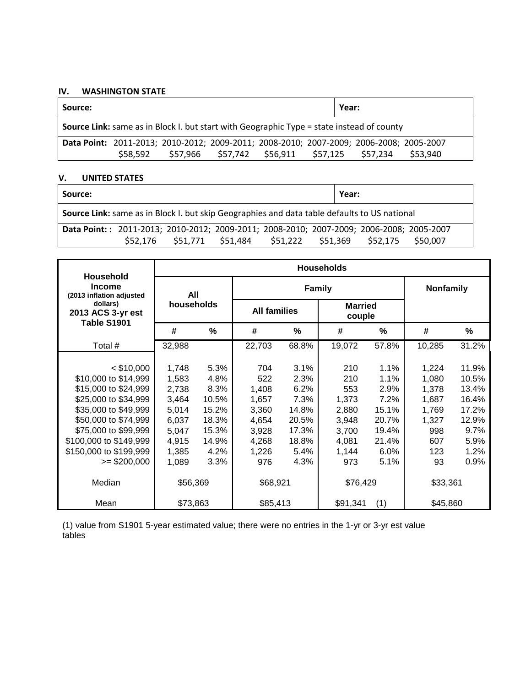#### IV. WASHINGTON STATE

| Source:                                                                                          |          |         |          |          |          | Year:    |          |  |
|--------------------------------------------------------------------------------------------------|----------|---------|----------|----------|----------|----------|----------|--|
| <b>Source Link:</b> same as in Block I. but start with Geographic Type = state instead of county |          |         |          |          |          |          |          |  |
| Data Point: 2011-2013; 2010-2012; 2009-2011; 2008-2010; 2007-2009; 2006-2008; 2005-2007          |          |         |          |          |          |          |          |  |
|                                                                                                  | \$58.592 | S57.966 | \$57,742 | \$56,911 | \$57,125 | \$57.234 | \$53.940 |  |

#### V. **UNITED STATES**

| Source:                                                                                      |  |                                     |  |  |                   | Year: |          |  |  |
|----------------------------------------------------------------------------------------------|--|-------------------------------------|--|--|-------------------|-------|----------|--|--|
| Source Link: same as in Block I. but skip Geographies and data table defaults to US national |  |                                     |  |  |                   |       |          |  |  |
| Data Point:: 2011-2013; 2010-2012; 2009-2011; 2008-2010; 2007-2009; 2006-2008; 2005-2007     |  |                                     |  |  |                   |       |          |  |  |
|                                                                                              |  | \$52,176 \$51,771 \$51,484 \$51,222 |  |  | \$51,369 \$52,175 |       | \$50,007 |  |  |

| Household                                    | <b>Households</b>                       |       |                     |       |                          |       |                  |       |
|----------------------------------------------|-----------------------------------------|-------|---------------------|-------|--------------------------|-------|------------------|-------|
| <b>Income</b><br>(2013 inflation adjusted    | All<br>households<br>#<br>$\frac{0}{0}$ |       | <b>Family</b>       |       |                          |       | <b>Nonfamily</b> |       |
| dollars)<br>2013 ACS 3-yr est<br>Table S1901 |                                         |       | <b>All families</b> |       | <b>Married</b><br>couple |       |                  |       |
|                                              |                                         |       | #                   | %     | #                        | %     | #                | ℅     |
| Total #                                      | 32,988                                  |       | 22,703              | 68.8% | 19,072                   | 57.8% | 10,285           | 31.2% |
|                                              |                                         |       |                     |       |                          |       |                  |       |
| $<$ \$10,000                                 | 1,748                                   | 5.3%  | 704                 | 3.1%  | 210                      | 1.1%  | 1,224            | 11.9% |
| \$10,000 to \$14,999                         | 1,583                                   | 4.8%  | 522                 | 2.3%  | 210                      | 1.1%  | 1,080            | 10.5% |
| \$15,000 to \$24,999                         | 2,738                                   | 8.3%  | 1,408               | 6.2%  | 553                      | 2.9%  | 1,378            | 13.4% |
| \$25,000 to \$34,999                         | 3,464                                   | 10.5% | 1,657               | 7.3%  | 1,373                    | 7.2%  | 1,687            | 16.4% |
| \$35,000 to \$49,999                         | 5,014                                   | 15.2% | 3,360               | 14.8% | 2,880                    | 15.1% | 1,769            | 17.2% |
| \$50,000 to \$74,999                         | 6,037                                   | 18.3% | 4,654               | 20.5% | 3,948                    | 20.7% | 1,327            | 12.9% |
| \$75,000 to \$99,999                         | 5,047                                   | 15.3% | 3,928               | 17.3% | 3,700                    | 19.4% | 998              | 9.7%  |
| \$100,000 to \$149,999                       | 4,915                                   | 14.9% | 4,268               | 18.8% | 4,081                    | 21.4% | 607              | 5.9%  |
| \$150,000 to \$199,999                       | 1,385                                   | 4.2%  | 1,226               | 5.4%  | 1,144                    | 6.0%  | 123              | 1.2%  |
| $\ge$ \$200,000                              | 1,089                                   | 3.3%  | 976                 | 4.3%  | 973                      | 5.1%  | 93               | 0.9%  |
| Median                                       | \$56,369                                |       | \$68,921            |       | \$76,429                 |       | \$33,361         |       |
| Mean                                         | \$73,863                                |       | \$85,413            |       | \$91,341                 | (1)   | \$45,860         |       |

(1) value from S1901 5-year estimated value; there were no entries in the 1-yr or 3-yr est value tables